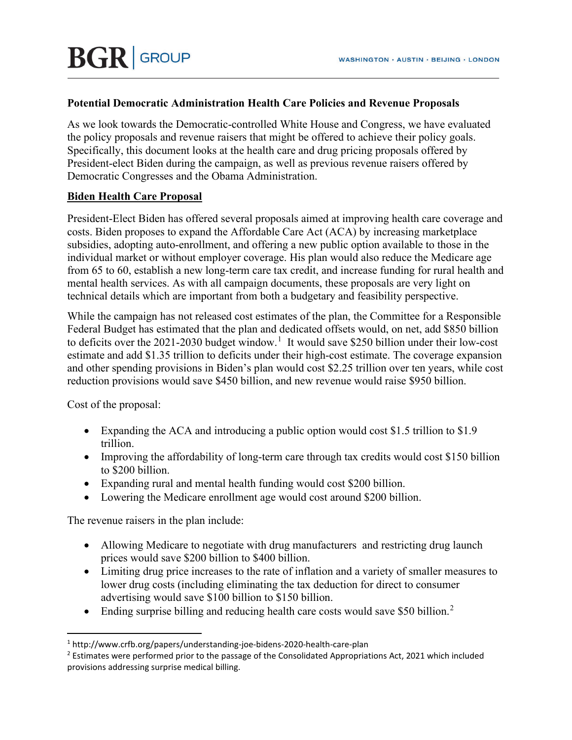### **Potential Democratic Administration Health Care Policies and Revenue Proposals**

As we look towards the Democratic-controlled White House and Congress, we have evaluated the policy proposals and revenue raisers that might be offered to achieve their policy goals. Specifically, this document looks at the health care and drug pricing proposals offered by President-elect Biden during the campaign, as well as previous revenue raisers offered by Democratic Congresses and the Obama Administration.

### **Biden Health Care Proposal**

President-Elect Biden has offered several proposals aimed at improving health care coverage and costs. Biden proposes to expand the Affordable Care Act (ACA) by increasing marketplace subsidies, adopting auto-enrollment, and offering a new public option available to those in the individual market or without employer coverage. His plan would also reduce the Medicare age from 65 to 60, establish a new long-term care tax credit, and increase funding for rural health and mental health services. As with all campaign documents, these proposals are very light on technical details which are important from both a budgetary and feasibility perspective.

While the campaign has not released cost estimates of the plan, the Committee for a Responsible Federal Budget has estimated that the plan and dedicated offsets would, on net, add \$850 billion to deficits over the 202[1](#page-0-0)-2030 budget window.<sup>1</sup> It would save \$250 billion under their low-cost estimate and add \$1.35 trillion to deficits under their high-cost estimate. The coverage expansion and other spending provisions in Biden's plan would cost \$2.25 trillion over ten years, while cost reduction provisions would save \$450 billion, and new revenue would raise \$950 billion.

Cost of the proposal:

- Expanding the ACA and introducing a public option would cost \$1.5 trillion to \$1.9 trillion.
- Improving the affordability of long-term care through tax credits would cost \$150 billion to \$200 billion.
- Expanding rural and mental health funding would cost \$200 billion.
- Lowering the Medicare enrollment age would cost around \$200 billion.

The revenue raisers in the plan include:

- Allowing Medicare to negotiate with drug manufacturers and restricting drug launch prices would save \$200 billion to \$400 billion.
- Limiting drug price increases to the rate of inflation and a variety of smaller measures to lower drug costs (including eliminating the tax deduction for direct to consumer advertising would save \$100 billion to \$150 billion.
- Ending surprise billing and reducing health care costs would save \$50 billion.<sup>[2](#page-0-1)</sup>

<span id="page-0-0"></span><sup>1</sup> http://www.crfb.org/papers/understanding-joe-bidens-2020-health-care-plan

<span id="page-0-1"></span><sup>&</sup>lt;sup>2</sup> Estimates were performed prior to the passage of the Consolidated Appropriations Act, 2021 which included provisions addressing surprise medical billing.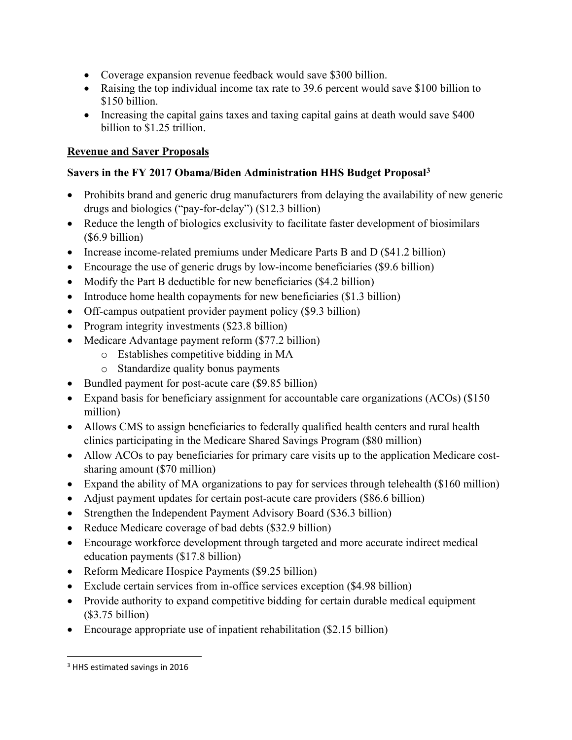- Coverage expansion revenue feedback would save \$300 billion.
- Raising the top individual income tax rate to 39.6 percent would save \$100 billion to \$150 billion.
- Increasing the capital gains taxes and taxing capital gains at death would save \$400 billion to \$1.25 trillion.

## **Revenue and Saver Proposals**

## **Savers in the FY 2017 Obama/Biden Administration HHS Budget Proposal[3](#page-1-0)**

- Prohibits brand and generic drug manufacturers from delaying the availability of new generic drugs and biologics ("pay-for-delay") (\$12.3 billion)
- Reduce the length of biologics exclusivity to facilitate faster development of biosimilars (\$6.9 billion)
- Increase income-related premiums under Medicare Parts B and D (\$41.2 billion)
- Encourage the use of generic drugs by low-income beneficiaries (\$9.6 billion)
- Modify the Part B deductible for new beneficiaries (\$4.2 billion)
- Introduce home health copayments for new beneficiaries (\$1.3 billion)
- Off-campus outpatient provider payment policy (\$9.3 billion)
- Program integrity investments (\$23.8 billion)
- Medicare Advantage payment reform (\$77.2 billion)
	- o Establishes competitive bidding in MA
	- o Standardize quality bonus payments
- Bundled payment for post-acute care (\$9.85 billion)
- Expand basis for beneficiary assignment for accountable care organizations (ACOs) (\$150) million)
- Allows CMS to assign beneficiaries to federally qualified health centers and rural health clinics participating in the Medicare Shared Savings Program (\$80 million)
- Allow ACOs to pay beneficiaries for primary care visits up to the application Medicare costsharing amount (\$70 million)
- Expand the ability of MA organizations to pay for services through telehealth (\$160 million)
- Adjust payment updates for certain post-acute care providers (\$86.6 billion)
- Strengthen the Independent Payment Advisory Board (\$36.3 billion)
- Reduce Medicare coverage of bad debts (\$32.9 billion)
- Encourage workforce development through targeted and more accurate indirect medical education payments (\$17.8 billion)
- Reform Medicare Hospice Payments (\$9.25 billion)
- Exclude certain services from in-office services exception (\$4.98 billion)
- Provide authority to expand competitive bidding for certain durable medical equipment (\$3.75 billion)
- Encourage appropriate use of inpatient rehabilitation (\$2.15 billion)

<span id="page-1-0"></span><sup>3</sup> HHS estimated savings in 2016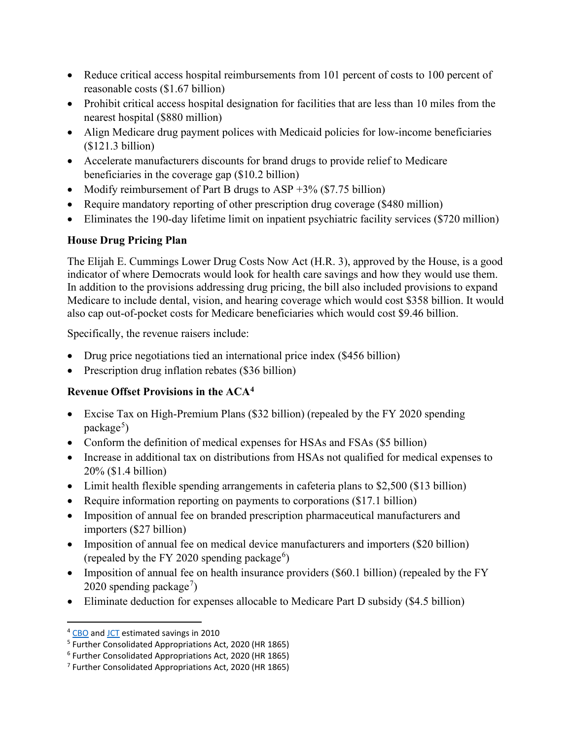- Reduce critical access hospital reimbursements from 101 percent of costs to 100 percent of reasonable costs (\$1.67 billion)
- Prohibit critical access hospital designation for facilities that are less than 10 miles from the nearest hospital (\$880 million)
- Align Medicare drug payment polices with Medicaid policies for low-income beneficiaries (\$121.3 billion)
- Accelerate manufacturers discounts for brand drugs to provide relief to Medicare beneficiaries in the coverage gap (\$10.2 billion)
- Modify reimbursement of Part B drugs to ASP  $+3\%$  (\$7.75 billion)
- Require mandatory reporting of other prescription drug coverage (\$480 million)
- Eliminates the 190-day lifetime limit on inpatient psychiatric facility services (\$720 million)

## **House Drug Pricing Plan**

The Elijah E. Cummings Lower Drug Costs Now Act (H.R. 3), approved by the House, is a good indicator of where Democrats would look for health care savings and how they would use them. In addition to the provisions addressing drug pricing, the bill also included provisions to expand Medicare to include dental, vision, and hearing coverage which would cost \$358 billion. It would also cap out-of-pocket costs for Medicare beneficiaries which would cost \$9.46 billion.

Specifically, the revenue raisers include:

- Drug price negotiations tied an international price index (\$456 billion)
- Prescription drug inflation rebates (\$36 billion)

# **Revenue Offset Provisions in the ACA[4](#page-2-0)**

- Excise Tax on High-Premium Plans (\$32 billion) (repealed by the FY 2020 spending package<sup>[5](#page-2-1)</sup>)
- Conform the definition of medical expenses for HSAs and FSAs (\$5 billion)
- Increase in additional tax on distributions from HSAs not qualified for medical expenses to 20% (\$1.4 billion)
- Limit health flexible spending arrangements in cafeteria plans to \$2,500 (\$13 billion)
- Require information reporting on payments to corporations (\$17.1 billion)
- Imposition of annual fee on branded prescription pharmaceutical manufacturers and importers (\$27 billion)
- Imposition of annual fee on medical device manufacturers and importers (\$20 billion) (repealed by the FY 2020 spending package $^6$  $^6$ )
- Imposition of annual fee on health insurance providers (\$60.1 billion) (repealed by the FY 2020 spending package<sup>[7](#page-2-3)</sup>)
- Eliminate deduction for expenses allocable to Medicare Part D subsidy (\$4.5 billion)

<span id="page-2-0"></span><sup>4</sup> [CBO](https://www.cbo.gov/sites/default/files/111th-congress-2009-2010/costestimate/amendreconprop.pdf) and [JCT](https://www.jct.gov/publications/2010/jcx-17-10/) estimated savings in 2010

<span id="page-2-1"></span><sup>5</sup> Further Consolidated Appropriations Act, 2020 (HR 1865)

<span id="page-2-2"></span><sup>6</sup> Further Consolidated Appropriations Act, 2020 (HR 1865)

<span id="page-2-3"></span><sup>7</sup> Further Consolidated Appropriations Act, 2020 (HR 1865)